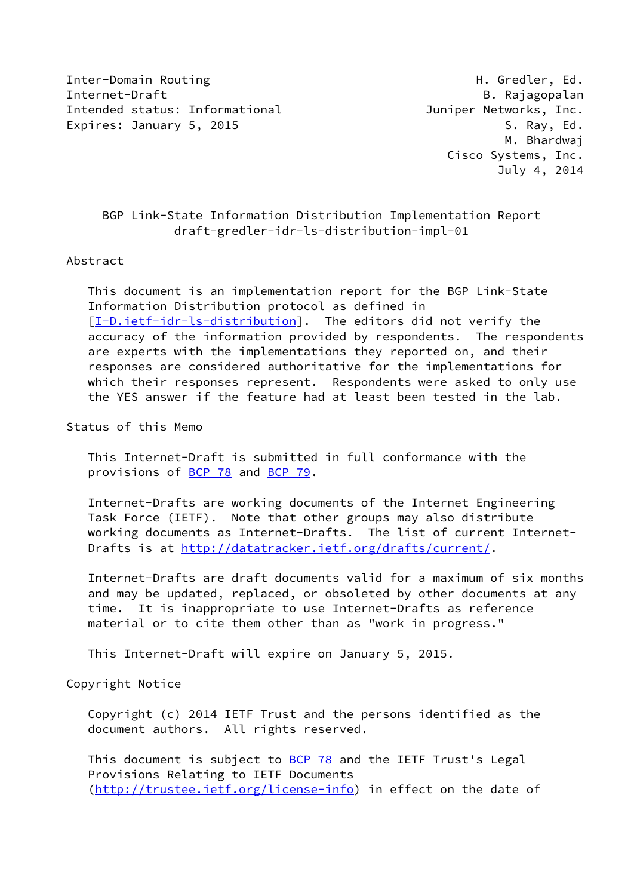Inter-Domain Routing The Communication of the Communication of the Communication of the Communication of the Co Internet-Draft B. Rajagopalan Intended status: Informational **Intended Status: Informational** Juniper Networks, Inc. Expires: January 5, 2015 S. Ray, Ed.

 M. Bhardwaj Cisco Systems, Inc. July 4, 2014

# BGP Link-State Information Distribution Implementation Report draft-gredler-idr-ls-distribution-impl-01

## Abstract

 This document is an implementation report for the BGP Link-State Information Distribution protocol as defined in [\[I-D.ietf-idr-ls-distribution](#page-13-0)]. The editors did not verify the accuracy of the information provided by respondents. The respondents are experts with the implementations they reported on, and their responses are considered authoritative for the implementations for which their responses represent. Respondents were asked to only use the YES answer if the feature had at least been tested in the lab.

# Status of this Memo

 This Internet-Draft is submitted in full conformance with the provisions of [BCP 78](https://datatracker.ietf.org/doc/pdf/bcp78) and [BCP 79](https://datatracker.ietf.org/doc/pdf/bcp79).

 Internet-Drafts are working documents of the Internet Engineering Task Force (IETF). Note that other groups may also distribute working documents as Internet-Drafts. The list of current Internet- Drafts is at<http://datatracker.ietf.org/drafts/current/>.

 Internet-Drafts are draft documents valid for a maximum of six months and may be updated, replaced, or obsoleted by other documents at any time. It is inappropriate to use Internet-Drafts as reference material or to cite them other than as "work in progress."

This Internet-Draft will expire on January 5, 2015.

# Copyright Notice

 Copyright (c) 2014 IETF Trust and the persons identified as the document authors. All rights reserved.

This document is subject to **[BCP 78](https://datatracker.ietf.org/doc/pdf/bcp78)** and the IETF Trust's Legal Provisions Relating to IETF Documents [\(http://trustee.ietf.org/license-info](http://trustee.ietf.org/license-info)) in effect on the date of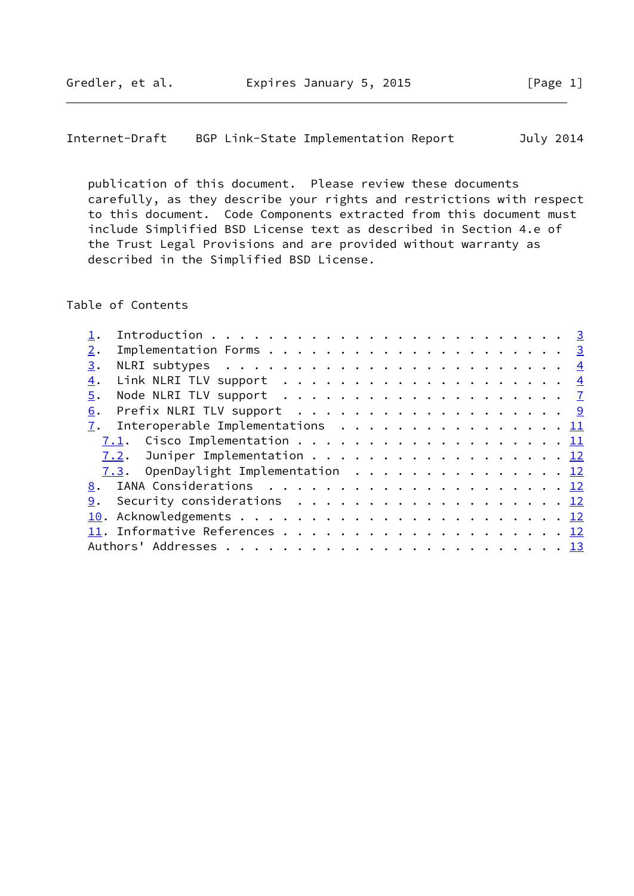Internet-Draft BGP Link-State Implementation Report July 2014

 publication of this document. Please review these documents carefully, as they describe your rights and restrictions with respect to this document. Code Components extracted from this document must include Simplified BSD License text as described in Section 4.e of the Trust Legal Provisions and are provided without warranty as described in the Simplified BSD License.

Table of Contents

| 2. |                                                                         |  |  |  |  |  |  |  |  |  |  |  |  |
|----|-------------------------------------------------------------------------|--|--|--|--|--|--|--|--|--|--|--|--|
| 3. | NLRI subtypes $\ldots \ldots \ldots \ldots \ldots \ldots \ldots \ldots$ |  |  |  |  |  |  |  |  |  |  |  |  |
| 4. |                                                                         |  |  |  |  |  |  |  |  |  |  |  |  |
| 5. |                                                                         |  |  |  |  |  |  |  |  |  |  |  |  |
| 6. |                                                                         |  |  |  |  |  |  |  |  |  |  |  |  |
|    | $\underline{7}$ . Interoperable Implementations 11                      |  |  |  |  |  |  |  |  |  |  |  |  |
|    |                                                                         |  |  |  |  |  |  |  |  |  |  |  |  |
|    |                                                                         |  |  |  |  |  |  |  |  |  |  |  |  |
|    | 7.3. OpenDaylight Implementation 12                                     |  |  |  |  |  |  |  |  |  |  |  |  |
|    |                                                                         |  |  |  |  |  |  |  |  |  |  |  |  |
|    | 9. Security considerations 12                                           |  |  |  |  |  |  |  |  |  |  |  |  |
|    |                                                                         |  |  |  |  |  |  |  |  |  |  |  |  |
|    |                                                                         |  |  |  |  |  |  |  |  |  |  |  |  |
|    |                                                                         |  |  |  |  |  |  |  |  |  |  |  |  |
|    |                                                                         |  |  |  |  |  |  |  |  |  |  |  |  |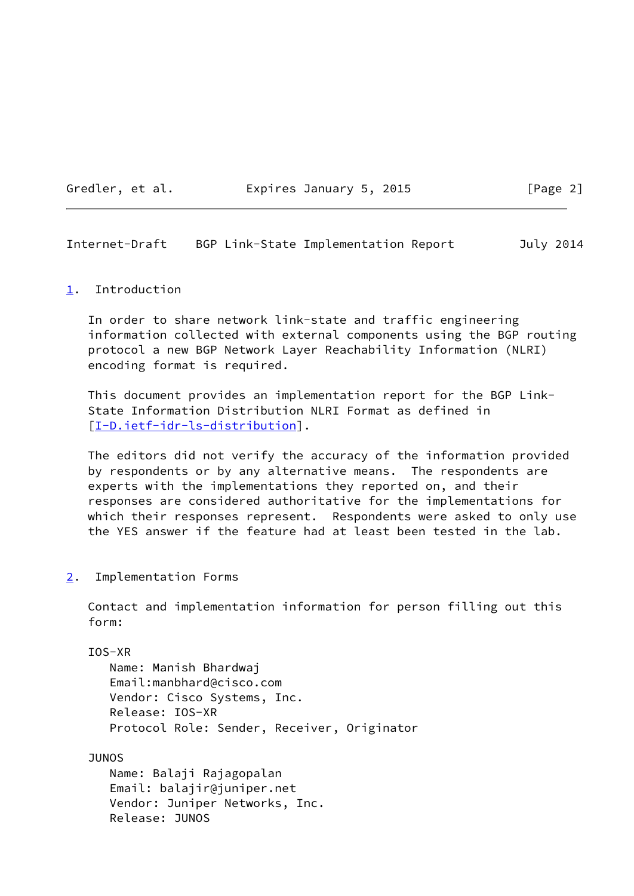## Gredler, et al. **Expires January 5, 2015** [Page 2]

<span id="page-2-1"></span>Internet-Draft BGP Link-State Implementation Report July 2014

### <span id="page-2-0"></span>[1](#page-2-0). Introduction

 In order to share network link-state and traffic engineering information collected with external components using the BGP routing protocol a new BGP Network Layer Reachability Information (NLRI) encoding format is required.

 This document provides an implementation report for the BGP Link- State Information Distribution NLRI Format as defined in [\[I-D.ietf-idr-ls-distribution](#page-13-0)].

 The editors did not verify the accuracy of the information provided by respondents or by any alternative means. The respondents are experts with the implementations they reported on, and their responses are considered authoritative for the implementations for which their responses represent. Respondents were asked to only use the YES answer if the feature had at least been tested in the lab.

<span id="page-2-2"></span>[2](#page-2-2). Implementation Forms

 Contact and implementation information for person filling out this form:

IOS-XR

 Name: Manish Bhardwaj Email:manbhard@cisco.com Vendor: Cisco Systems, Inc. Release: IOS-XR Protocol Role: Sender, Receiver, Originator

JUNOS

 Name: Balaji Rajagopalan Email: balajir@juniper.net Vendor: Juniper Networks, Inc. Release: JUNOS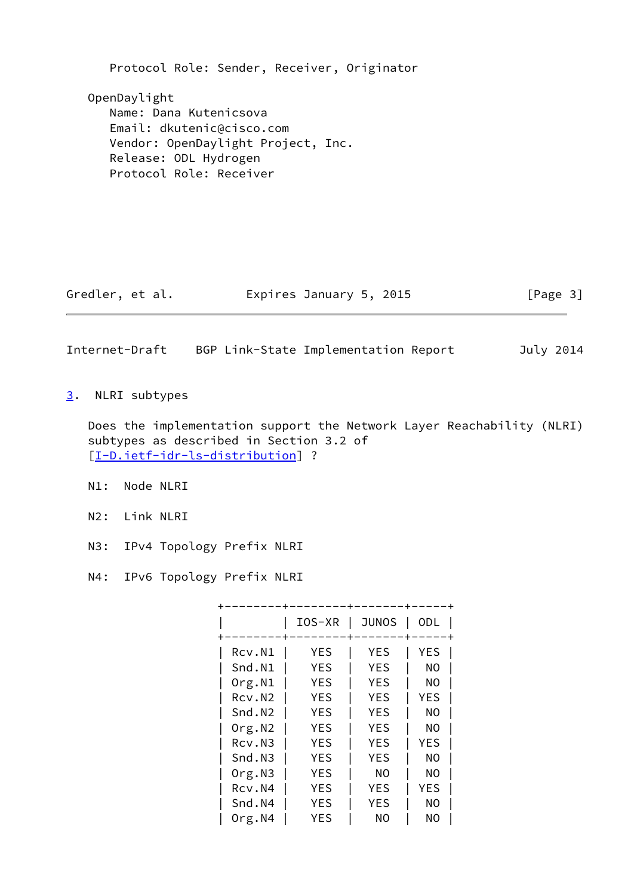Protocol Role: Sender, Receiver, Originator OpenDaylight Name: Dana Kutenicsova Email: dkutenic@cisco.com Vendor: OpenDaylight Project, Inc. Release: ODL Hydrogen Protocol Role: Receiver

Gredler, et al. **Expires January 5, 2015** [Page 3]

<span id="page-3-1"></span>Internet-Draft BGP Link-State Implementation Report July 2014

<span id="page-3-0"></span>[3](#page-3-0). NLRI subtypes

 Does the implementation support the Network Layer Reachability (NLRI) subtypes as described in Section 3.2 of [\[I-D.ietf-idr-ls-distribution](#page-13-0)] ?

- N1: Node NLRI
- N2: Link NLRI
- N3: IPv4 Topology Prefix NLRI
- N4: IPv6 Topology Prefix NLRI

|                    | IOS-XR     | <b>JUNOS</b> | <b>ODL</b> |
|--------------------|------------|--------------|------------|
|                    |            |              |            |
| Rcv.N1             | YES        | YES          | YES        |
| Snd.N1             | YES        | <b>YES</b>   | NO         |
| Org.N1             | YES        | <b>YES</b>   | NO         |
| Rcv.N <sub>2</sub> | YES        | <b>YES</b>   | YES        |
| Snd.N <sub>2</sub> | YES        | <b>YES</b>   | NO         |
| Org.N2             | <b>YES</b> | <b>YES</b>   | NO         |
| Rcv.N3             | <b>YES</b> | <b>YES</b>   | <b>YES</b> |
| Snd.N3             | <b>YES</b> | <b>YES</b>   | NO         |
| Org.N3             | <b>YES</b> | NO.          | NO.        |
| Rcv.N4             | <b>YES</b> | <b>YES</b>   | YES        |
| Snd.N4             | <b>YES</b> | <b>YES</b>   | NO         |
| Org.N4             | <b>YES</b> | NO           | NO         |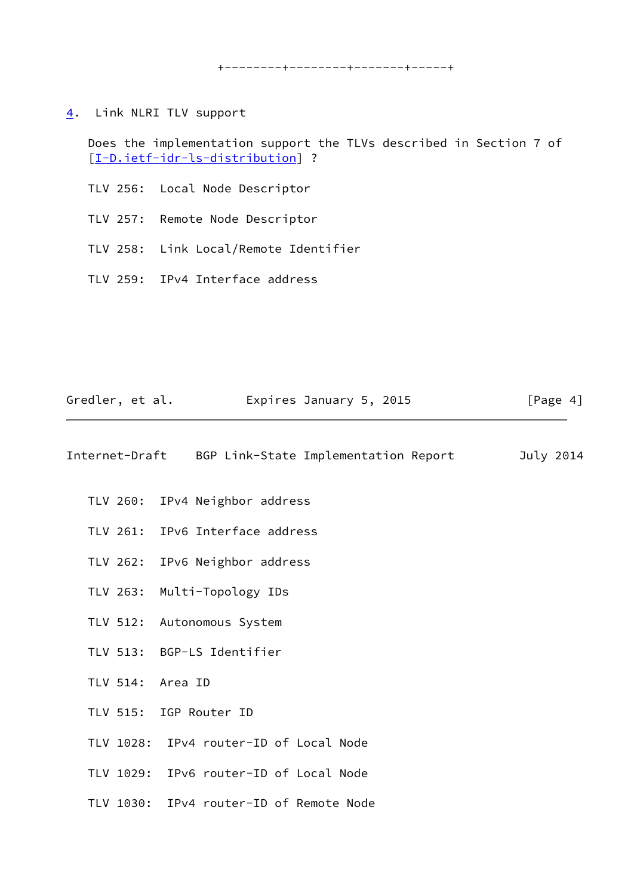+--------+--------+-------+-----+

<span id="page-4-0"></span>[4](#page-4-0). Link NLRI TLV support

 Does the implementation support the TLVs described in Section 7 of [\[I-D.ietf-idr-ls-distribution](#page-13-0)] ?

- TLV 256: Local Node Descriptor
- TLV 257: Remote Node Descriptor
- TLV 258: Link Local/Remote Identifier
- TLV 259: IPv4 Interface address

| Gredler, et al. | Expires January 5, 2015                             | [Page $4$ ] |
|-----------------|-----------------------------------------------------|-------------|
|                 | Internet-Draft BGP Link-State Implementation Report | July 2014   |
|                 | TLV 260: IPv4 Neighbor address                      |             |
|                 | TLV 261: IPv6 Interface address                     |             |
|                 | TLV 262: IPv6 Neighbor address                      |             |
|                 | TLV 263: Multi-Topology IDs                         |             |
|                 | TLV 512: Autonomous System                          |             |
|                 | TLV 513: BGP-LS Identifier                          |             |
|                 | TLV 514: Area ID                                    |             |
|                 | TLV 515: IGP Router ID                              |             |
|                 | TLV 1028: IPv4 router-ID of Local Node              |             |
|                 | TLV 1029: IPv6 router-ID of Local Node              |             |
|                 | TLV 1030: IPv4 router-ID of Remote Node             |             |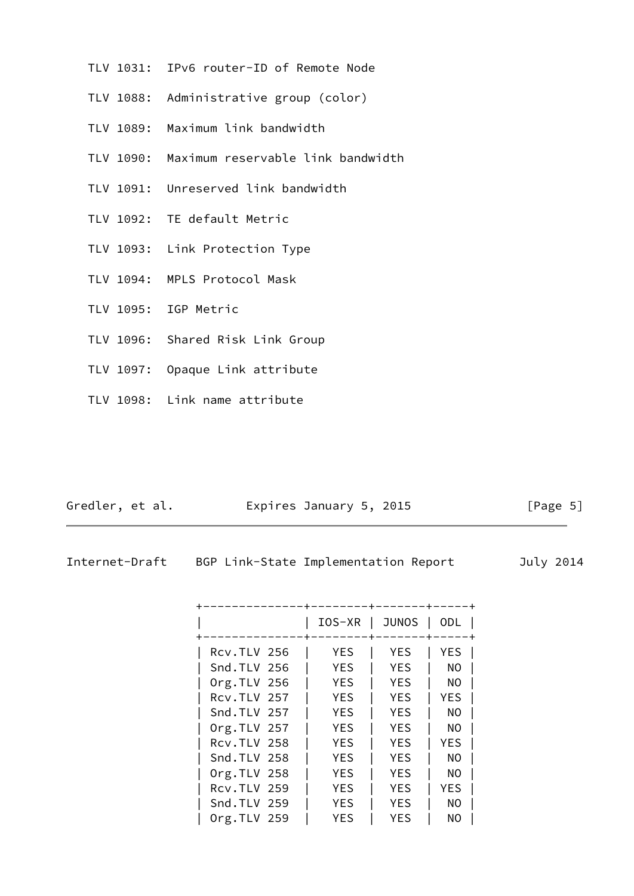- TLV 1031: IPv6 router-ID of Remote Node
- TLV 1088: Administrative group (color)
- TLV 1089: Maximum link bandwidth
- TLV 1090: Maximum reservable link bandwidth
- TLV 1091: Unreserved link bandwidth
- TLV 1092: TE default Metric
- TLV 1093: Link Protection Type
- TLV 1094: MPLS Protocol Mask
- TLV 1095: IGP Metric
- TLV 1096: Shared Risk Link Group
- TLV 1097: Opaque Link attribute
- TLV 1098: Link name attribute

Gredler, et al. **Expires January 5, 2015** [Page 5]

|  |  | Internet-Draft |
|--|--|----------------|

t BGP Link-State Implementation Report July 2014

|                    | IOS-XR     | <b>JUNOS</b> | ODL |
|--------------------|------------|--------------|-----|
| RCV.TLV 256        | <b>YES</b> | <b>YES</b>   | YES |
| Snd.TLV 256        | <b>YES</b> | <b>YES</b>   | NO. |
| $Org.TLV$ 256      | <b>YES</b> | <b>YES</b>   | NO. |
| RCV.TLV 257        | <b>YES</b> | <b>YES</b>   | YES |
| Snd.TLV 257        | YES        | <b>YES</b>   | NO  |
| Org.TLV 257        | <b>YES</b> | <b>YES</b>   | NO  |
| <b>Rcv.TLV 258</b> | <b>YES</b> | <b>YES</b>   | YES |
| Snd.TLV 258        | <b>YES</b> | <b>YES</b>   | NO. |
| $Org.TLV$ 258      | <b>YES</b> | <b>YES</b>   | NO. |
| RCV.TLV 259        | <b>YES</b> | <b>YES</b>   | YES |
| Snd.TLV 259        | <b>YES</b> | <b>YES</b>   | NO. |
| $Org.TLV$ 259      | YES        | YES          | NO  |
|                    |            |              |     |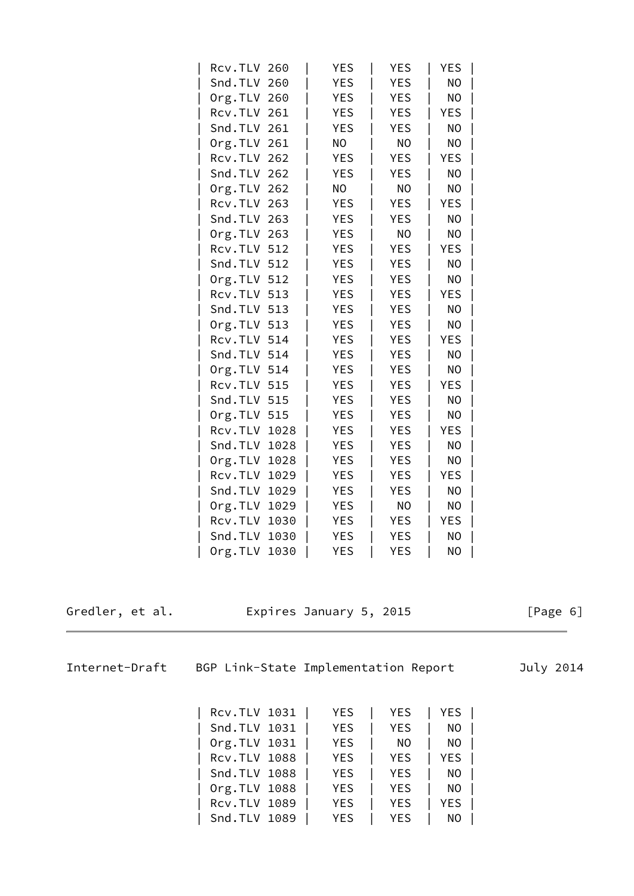| Rcv.TLV 260   |      | <b>YES</b> | <b>YES</b> | YES        |  |
|---------------|------|------------|------------|------------|--|
| Snd.TLV 260   |      | <b>YES</b> | <b>YES</b> | NO         |  |
| $Org.TLV$ 260 |      | <b>YES</b> | <b>YES</b> | NO         |  |
| Rcv.TLV 261   |      | <b>YES</b> | <b>YES</b> | <b>YES</b> |  |
| Snd.TLV 261   |      | <b>YES</b> | <b>YES</b> | NO         |  |
| Org.TLV 261   |      | NO.        | NO         | NO         |  |
| Rcv.TLV 262   |      | <b>YES</b> | <b>YES</b> | YES        |  |
| Snd.TLV 262   |      | <b>YES</b> | <b>YES</b> | NO         |  |
| Org.TLV       | 262  | NO         | ΝO         | NO         |  |
| Rcv.TLV 263   |      | <b>YES</b> | <b>YES</b> | <b>YES</b> |  |
| Snd.TLV 263   |      | <b>YES</b> | <b>YES</b> | NO         |  |
| Org.TLV 263   |      | <b>YES</b> | NO         | NO         |  |
| Rcv.TLV 512   |      | <b>YES</b> | YES        | YES        |  |
| Snd.TLV 512   |      | <b>YES</b> | <b>YES</b> | NO         |  |
| Org.TLV 512   |      | <b>YES</b> | <b>YES</b> | NO         |  |
| Rcv.TLV 513   |      | <b>YES</b> | <b>YES</b> | <b>YES</b> |  |
| Snd.TLV 513   |      | <b>YES</b> | <b>YES</b> | NO         |  |
| Org.TLV 513   |      | YES        | <b>YES</b> | NO         |  |
| Rcv.TLV 514   |      | <b>YES</b> | YES        | YES        |  |
| Snd.TLV 514   |      | <b>YES</b> | <b>YES</b> | NO         |  |
| Org.TLV 514   |      | <b>YES</b> | <b>YES</b> | NO         |  |
| Rcv.TLV 515   |      | <b>YES</b> | <b>YES</b> | YES        |  |
| Snd.TLV 515   |      | <b>YES</b> | <b>YES</b> | NO         |  |
| Org.TLV 515   |      | YES        | <b>YES</b> | NO         |  |
| Rcv.TLV       | 1028 | <b>YES</b> | <b>YES</b> | YES        |  |
| Snd.TLV       | 1028 | <b>YES</b> | <b>YES</b> | NO         |  |
| Org.TLV 1028  |      | <b>YES</b> | <b>YES</b> | NO         |  |
| Rcv.TLV 1029  |      | <b>YES</b> | <b>YES</b> | YES        |  |
| Snd.TLV 1029  |      | YES        | YES        | NO         |  |
| Org.TLV       | 1029 | YES        | NO         | NO         |  |
| Rcv.TLV       | 1030 | <b>YES</b> | <b>YES</b> | <b>YES</b> |  |
| Snd.TLV       | 1030 | <b>YES</b> | <b>YES</b> | NO         |  |
| Org.TLV       | 1030 | <b>YES</b> | <b>YES</b> | NO         |  |
|               |      |            |            |            |  |
|               |      |            |            |            |  |

Gredler, et al. Expires January 5, 2015 [Page 6]

<span id="page-6-0"></span>Internet-Draft BGP Link-State Implementation Report July 2014

| RCV.TLV 1031                 | YES        | <b>YES</b> | YES      |  |
|------------------------------|------------|------------|----------|--|
| Snd.TLV 1031                 | YES        | YES.       | NO       |  |
| Org.TLV 1031                 | YES        | NO.        | NO       |  |
| Rcv.TLV 1088                 | YES        | YES        | YES      |  |
| $\vert$ Snd.TLV 1088 $\vert$ | YES        |            | YES   NO |  |
| Org.TLV 1088                 | YES        | YES        | NO       |  |
| Rcv.TLV 1089                 | YES        | <b>YES</b> | YES      |  |
| Snd.TLV 1089                 | <b>YES</b> | YES.       | NO.      |  |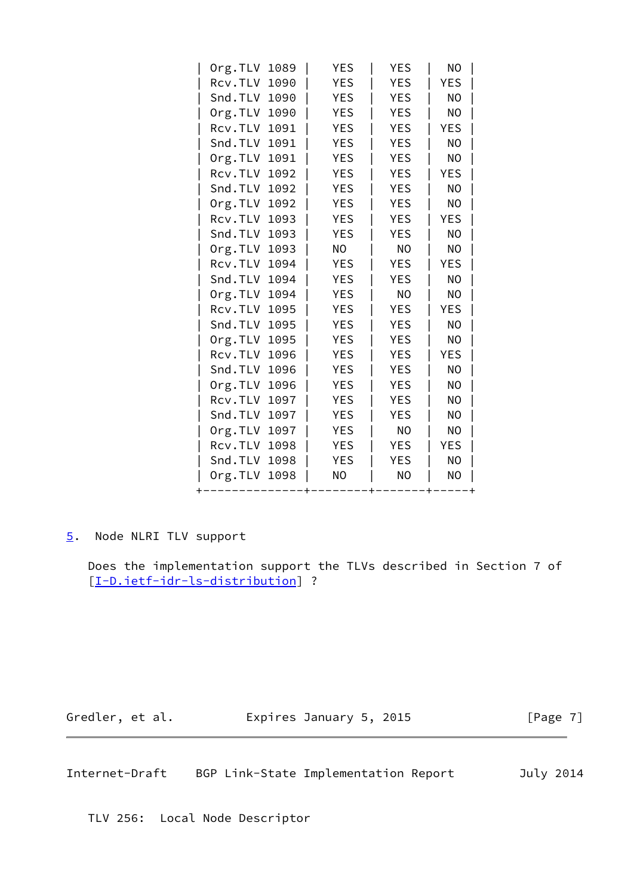| Org.TLV<br>1089 | <b>YES</b> | <b>YES</b> | NO             |
|-----------------|------------|------------|----------------|
| Rcv.TLV<br>1090 | <b>YES</b> | <b>YES</b> | <b>YES</b>     |
| Snd.TLV<br>1090 | <b>YES</b> | <b>YES</b> | N <sub>O</sub> |
| Org.TLV 1090    | <b>YES</b> | YES        | NO             |
| Rcv.TLV<br>1091 | <b>YES</b> | <b>YES</b> | YES            |
| Snd.TLV<br>1091 | <b>YES</b> | <b>YES</b> | N <sub>O</sub> |
| Org.TLV<br>1091 | YES        | <b>YES</b> | NO             |
| Rcv.TLV<br>1092 | <b>YES</b> | <b>YES</b> | YES            |
| Snd.TLV<br>1092 | <b>YES</b> | <b>YES</b> | NO             |
| Org.TLV<br>1092 | <b>YES</b> | <b>YES</b> | NO             |
| Rcv.TLV 1093    | <b>YES</b> | <b>YES</b> | YES            |
| Snd.TLV<br>1093 | <b>YES</b> | <b>YES</b> | NO             |
| Org.TLV<br>1093 | NO         | NO         | NO             |
| Rcv.TLV 1094    | <b>YES</b> | <b>YES</b> | <b>YES</b>     |
| Snd.TLV<br>1094 | <b>YES</b> | <b>YES</b> | NO             |
| Org.TLV<br>1094 | <b>YES</b> | <b>NO</b>  | N <sub>O</sub> |
| Rcv.TLV<br>1095 | <b>YES</b> | <b>YES</b> | <b>YES</b>     |
| Snd.TLV<br>1095 | <b>YES</b> | <b>YES</b> | NO             |
| Org.TLV<br>1095 | <b>YES</b> | <b>YES</b> | NO             |
| Rcv.TLV<br>1096 | YES        | YES        | YES            |
| Snd.TLV 1096    | <b>YES</b> | <b>YES</b> | NO             |
| Org.TLV<br>1096 | <b>YES</b> | <b>YES</b> | NO             |
| Rcv.TLV<br>1097 | <b>YES</b> | <b>YES</b> | NO             |
| Snd.TLV<br>1097 | <b>YES</b> | <b>YES</b> | NO             |
| Org.TLV<br>1097 | <b>YES</b> | NO         | NO             |
| Rcv.TLV 1098    | <b>YES</b> | <b>YES</b> | YES            |
| Snd.TLV<br>1098 | <b>YES</b> | <b>YES</b> | N <sub>O</sub> |
| Org.TLV<br>1098 | NO         | NO         | NO             |
|                 |            |            |                |

# <span id="page-7-0"></span>[5](#page-7-0). Node NLRI TLV support

 Does the implementation support the TLVs described in Section 7 of [\[I-D.ietf-idr-ls-distribution](#page-13-0)] ?

Gredler, et al. **Expires January 5, 2015** [Page 7]

Internet-Draft BGP Link-State Implementation Report July 2014

TLV 256: Local Node Descriptor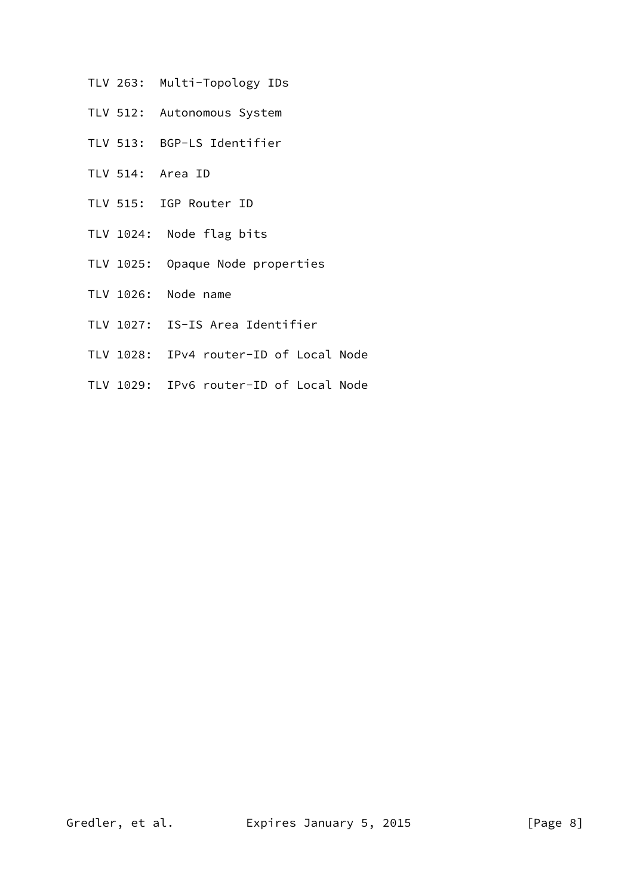- TLV 263: Multi-Topology IDs
- TLV 512: Autonomous System
- TLV 513: BGP-LS Identifier
- TLV 514: Area ID
- TLV 515: IGP Router ID
- TLV 1024: Node flag bits
- TLV 1025: Opaque Node properties
- TLV 1026: Node name
- TLV 1027: IS-IS Area Identifier
- TLV 1028: IPv4 router-ID of Local Node
- TLV 1029: IPv6 router-ID of Local Node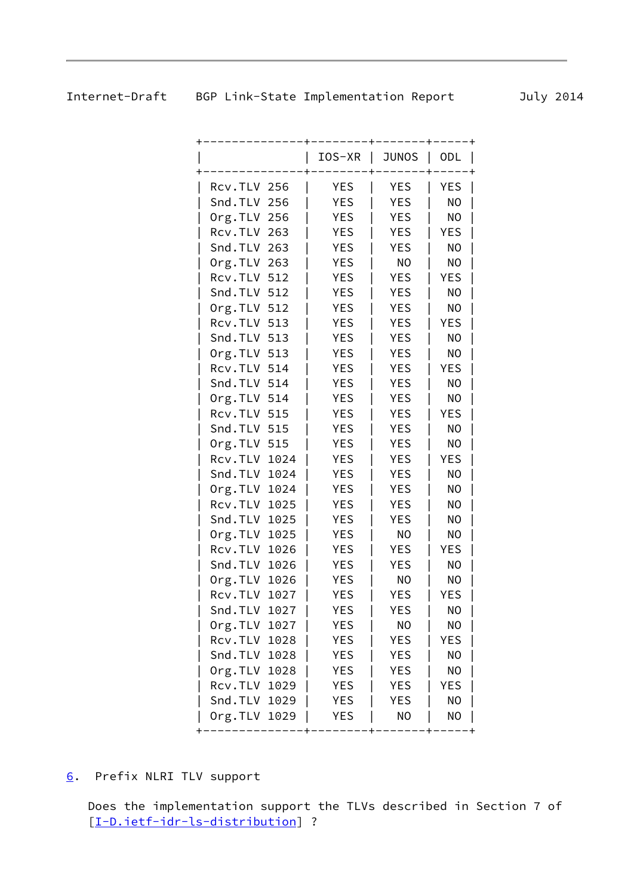<span id="page-9-1"></span>

|                 | IOS-XR     | <b>JUNOS</b> | <b>ODL</b>     |
|-----------------|------------|--------------|----------------|
| Rcv.TLV 256     | <b>YES</b> | YES          | YES            |
| Snd.TLV 256     | <b>YES</b> | YES          | N <sub>O</sub> |
| Org.TLV 256     | <b>YES</b> | <b>YES</b>   | NO             |
| Rcv.TLV 263     | <b>YES</b> | <b>YES</b>   | YES            |
| Snd.TLV 263     | <b>YES</b> | <b>YES</b>   | NO             |
| $Org.TLV$ 263   | <b>YES</b> | NO           | NO             |
| Rcv.TLV 512     | <b>YES</b> | <b>YES</b>   | YES            |
| Snd.TLV 512     | <b>YES</b> | <b>YES</b>   | NO             |
| Org.TLV 512     | <b>YES</b> | <b>YES</b>   | NO             |
| Rcv.TLV 513     | <b>YES</b> | <b>YES</b>   | YES            |
| Snd.TLV 513     | <b>YES</b> | <b>YES</b>   | NO             |
| Org.TLV 513     | <b>YES</b> | <b>YES</b>   | NO             |
| Rcv.TLV 514     | <b>YES</b> | YES          | YES            |
| Snd.TLV 514     | <b>YES</b> | <b>YES</b>   | NO             |
| Org.TLV 514     | <b>YES</b> | <b>YES</b>   | NO             |
| Rcv.TLV 515     | <b>YES</b> | <b>YES</b>   | YES            |
| Snd.TLV 515     | <b>YES</b> | <b>YES</b>   | NO             |
| Org.TLV 515     | <b>YES</b> | <b>YES</b>   | NO             |
| Rcv.TLV 1024    | <b>YES</b> | <b>YES</b>   | YES            |
| Snd.TLV 1024    | <b>YES</b> | <b>YES</b>   | NO             |
| Org.TLV<br>1024 | <b>YES</b> | <b>YES</b>   | NO             |
| Rcv.TLV<br>1025 | <b>YES</b> | <b>YES</b>   | NO             |
| Snd.TLV 1025    | <b>YES</b> | <b>YES</b>   | NO             |
| Org.TLV<br>1025 | <b>YES</b> | NO           | NO             |
| Rcv.TLV<br>1026 | <b>YES</b> | <b>YES</b>   | YES            |
| Snd.TLV 1026    | <b>YES</b> | <b>YES</b>   | NO             |
| Org.TLV<br>1026 | <b>YES</b> | NO           | NO             |
| Rcv.TLV<br>1027 | <b>YES</b> | <b>YES</b>   | YES            |
| Snd.TLV 1027    | YES        | <b>YES</b>   | N <sub>O</sub> |
| Org.TLV 1027    | YES        | <b>NO</b>    | NO             |
| Rcv.TLV 1028    | YES        | YES          | YES            |
| Snd.TLV 1028    | <b>YES</b> | <b>YES</b>   | NO             |
| Org.TLV 1028    | <b>YES</b> | <b>YES</b>   | N <sub>O</sub> |
| Rcv.TLV 1029    | <b>YES</b> | <b>YES</b>   | YES            |
| Snd.TLV 1029    | <b>YES</b> | <b>YES</b>   | N <sub>O</sub> |
| Org.TLV 1029    | YES        | <b>NO</b>    | <b>NO</b>      |

<span id="page-9-0"></span>[6](#page-9-0). Prefix NLRI TLV support

 Does the implementation support the TLVs described in Section 7 of [\[I-D.ietf-idr-ls-distribution](#page-13-0)] ?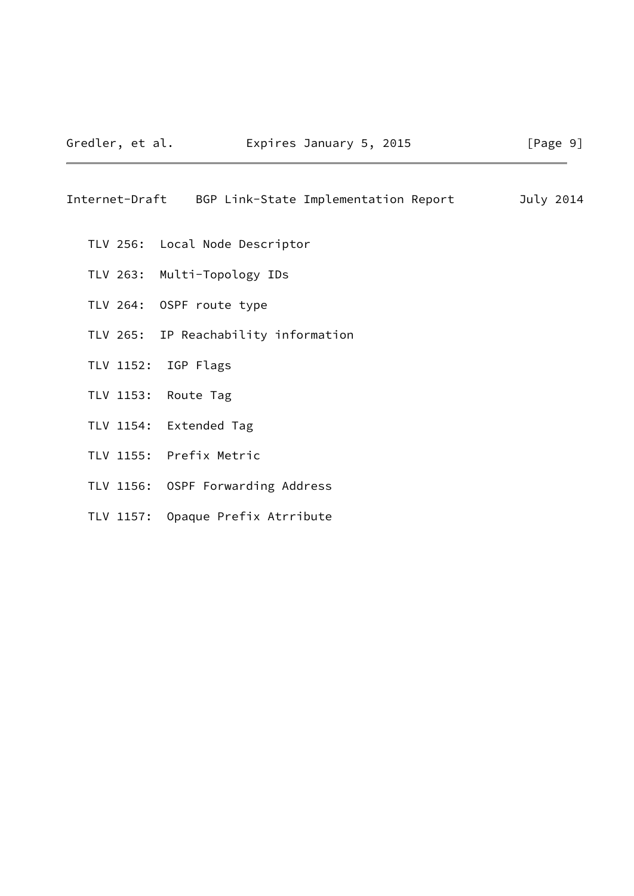Internet-Draft BGP Link-State Implementation Report July 2014

- TLV 256: Local Node Descriptor
- TLV 263: Multi-Topology IDs
- TLV 264: OSPF route type
- TLV 265: IP Reachability information
- TLV 1152: IGP Flags
- TLV 1153: Route Tag
- TLV 1154: Extended Tag
- TLV 1155: Prefix Metric
- TLV 1156: OSPF Forwarding Address
- TLV 1157: Opaque Prefix Atrribute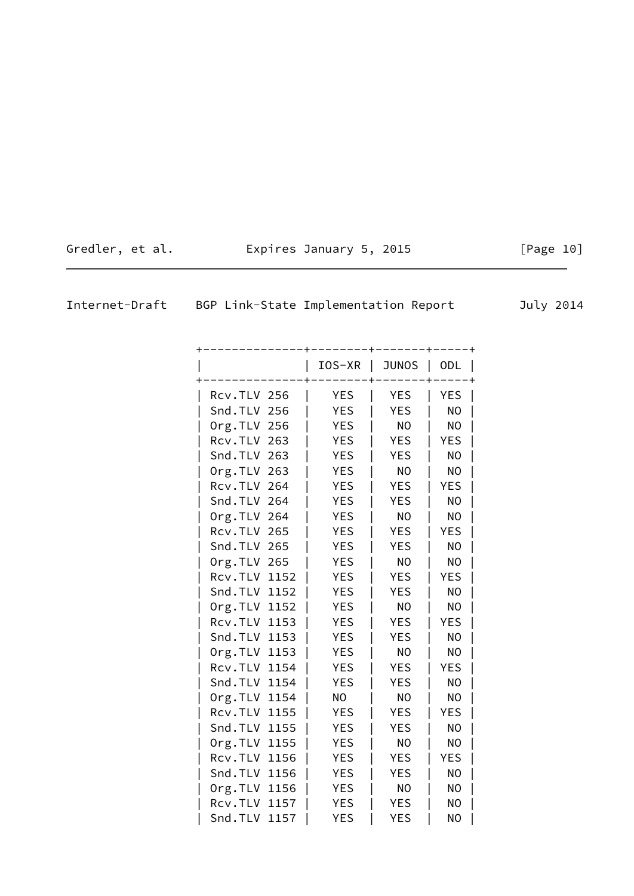| Gredler, et al. | Expires January 5, 2015 |  |  |
|-----------------|-------------------------|--|--|
|-----------------|-------------------------|--|--|

<span id="page-11-0"></span>

| Internet-Draft |  | BGP Link-State Implementation Report |  | July 2014 |
|----------------|--|--------------------------------------|--|-----------|
|----------------|--|--------------------------------------|--|-----------|

|                 | IOS-XR     | <b>JUNOS</b>   | <b>ODL</b>     |  |
|-----------------|------------|----------------|----------------|--|
| Rcv.TLV 256     | YES        | YES            | YES            |  |
| Snd.TLV 256     | <b>YES</b> | <b>YES</b>     | N <sub>O</sub> |  |
| $Org.TLV$ 256   | <b>YES</b> | N <sub>O</sub> | N <sub>O</sub> |  |
| Rcv.TLV 263     | YES        | <b>YES</b>     | YES            |  |
| Snd.TLV 263     | <b>YES</b> | <b>YES</b>     | NO             |  |
| Org.TLV 263     | <b>YES</b> | N <sub>O</sub> | N <sub>O</sub> |  |
| Rcv.TLV 264     | YES        | <b>YES</b>     | YES            |  |
| Snd.TLV 264     | YES        | <b>YES</b>     | NO             |  |
| Org.TLV 264     | <b>YES</b> | <b>NO</b>      | N <sub>O</sub> |  |
| Rcv.TLV 265     | YES        | <b>YES</b>     | YES            |  |
| Snd.TLV 265     | YES        | <b>YES</b>     | NO             |  |
| Org.TLV 265     | <b>YES</b> | N <sub>O</sub> | N <sub>O</sub> |  |
| Rcv.TLV<br>1152 | <b>YES</b> | <b>YES</b>     | YES            |  |
| Snd.TLV 1152    | YES        | <b>YES</b>     | NO             |  |
| Org.TLV 1152    | <b>YES</b> | N <sub>O</sub> | N <sub>O</sub> |  |
| Rcv.TLV<br>1153 | <b>YES</b> | <b>YES</b>     | YES            |  |
| Snd.TLV 1153    | YES        | <b>YES</b>     | NO             |  |
| Org.TLV<br>1153 | YES        | N <sub>O</sub> | NO             |  |
| Rcv.TLV<br>1154 | <b>YES</b> | <b>YES</b>     | YES            |  |
| Snd.TLV 1154    | <b>YES</b> | <b>YES</b>     | NO             |  |
| Org.TLV<br>1154 | NO         | NO             | NO             |  |
| Rcv.TLV<br>1155 | YES        | <b>YES</b>     | YES            |  |
| Snd.TLV 1155    | <b>YES</b> | <b>YES</b>     | NO             |  |
| Org.TLV<br>1155 | YES        | NO             | NO             |  |
| Rcv.TLV<br>1156 | YES        | <b>YES</b>     | YES            |  |
| Snd.TLV 1156    | <b>YES</b> | <b>YES</b>     | NO             |  |
| Org.TLV<br>1156 | YES        | NO             | NO             |  |
| Rcv.TLV<br>1157 | YES        | <b>YES</b>     | NO             |  |
| Snd.TLV<br>1157 | <b>YES</b> | <b>YES</b>     | N <sub>O</sub> |  |

 $[Page 10]$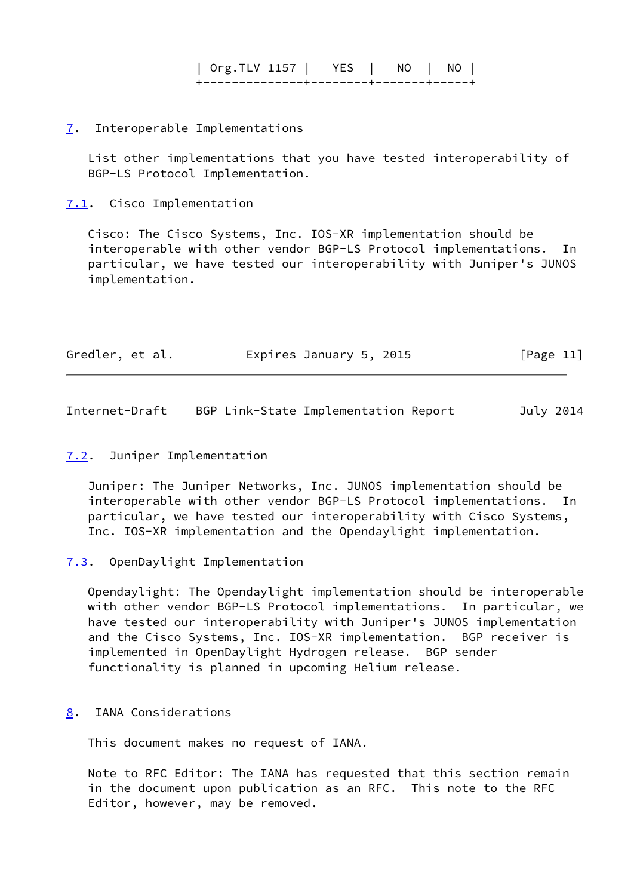| Org.TLV 1157 | YES | NO | NO | +--------------+--------+-------+-----+

## <span id="page-12-0"></span>[7](#page-12-0). Interoperable Implementations

 List other implementations that you have tested interoperability of BGP-LS Protocol Implementation.

<span id="page-12-1"></span>[7.1](#page-12-1). Cisco Implementation

 Cisco: The Cisco Systems, Inc. IOS-XR implementation should be interoperable with other vendor BGP-LS Protocol implementations. In particular, we have tested our interoperability with Juniper's JUNOS implementation.

| Gredler, et al.<br>Expires January 5, 2015 | [Page 11] |
|--------------------------------------------|-----------|
|--------------------------------------------|-----------|

<span id="page-12-3"></span>Internet-Draft BGP Link-State Implementation Report July 2014

### <span id="page-12-2"></span>[7.2](#page-12-2). Juniper Implementation

 Juniper: The Juniper Networks, Inc. JUNOS implementation should be interoperable with other vendor BGP-LS Protocol implementations. In particular, we have tested our interoperability with Cisco Systems, Inc. IOS-XR implementation and the Opendaylight implementation.

<span id="page-12-4"></span>[7.3](#page-12-4). OpenDaylight Implementation

 Opendaylight: The Opendaylight implementation should be interoperable with other vendor BGP-LS Protocol implementations. In particular, we have tested our interoperability with Juniper's JUNOS implementation and the Cisco Systems, Inc. IOS-XR implementation. BGP receiver is implemented in OpenDaylight Hydrogen release. BGP sender functionality is planned in upcoming Helium release.

<span id="page-12-5"></span>[8](#page-12-5). IANA Considerations

This document makes no request of IANA.

 Note to RFC Editor: The IANA has requested that this section remain in the document upon publication as an RFC. This note to the RFC Editor, however, may be removed.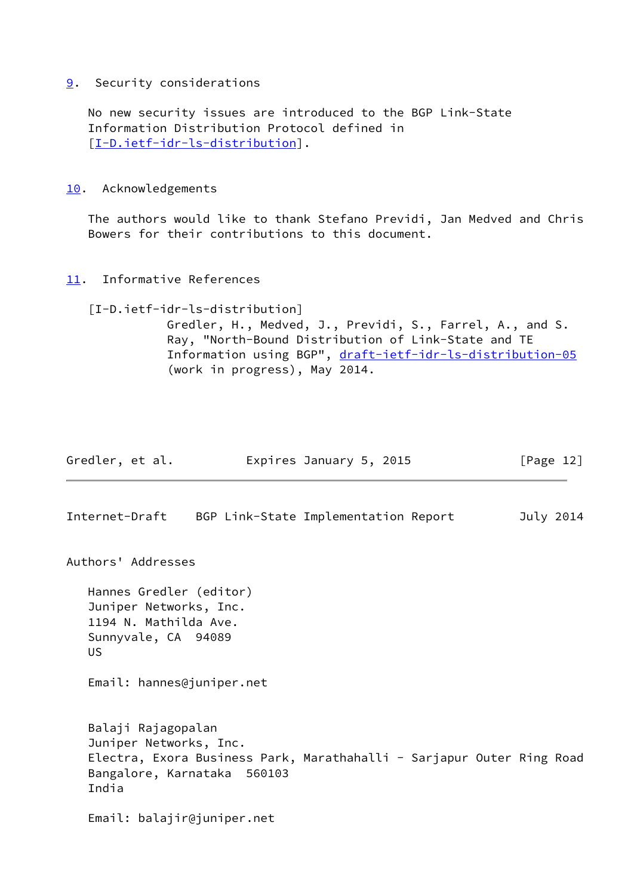# <span id="page-13-1"></span>[9](#page-13-1). Security considerations

 No new security issues are introduced to the BGP Link-State Information Distribution Protocol defined in [\[I-D.ietf-idr-ls-distribution](#page-13-0)].

## <span id="page-13-2"></span>[10.](#page-13-2) Acknowledgements

 The authors would like to thank Stefano Previdi, Jan Medved and Chris Bowers for their contributions to this document.

<span id="page-13-3"></span>[11.](#page-13-3) Informative References

# <span id="page-13-0"></span>[I-D.ietf-idr-ls-distribution]

 Gredler, H., Medved, J., Previdi, S., Farrel, A., and S. Ray, "North-Bound Distribution of Link-State and TE Information using BGP", [draft-ietf-idr-ls-distribution-05](https://datatracker.ietf.org/doc/pdf/draft-ietf-idr-ls-distribution-05) (work in progress), May 2014.

<span id="page-13-4"></span>

|                | Gredler, et al.                                                                                   |                                                                                                      | Expires January 5, 2015              |  | [Page $12$ ] |
|----------------|---------------------------------------------------------------------------------------------------|------------------------------------------------------------------------------------------------------|--------------------------------------|--|--------------|
| Internet-Draft |                                                                                                   |                                                                                                      | BGP Link-State Implementation Report |  | July 2014    |
|                | Authors' Addresses                                                                                |                                                                                                      |                                      |  |              |
| US.            | Hannes Gredler (editor)<br>Juniper Networks, Inc.<br>1194 N. Mathilda Ave.<br>Sunnyvale, CA 94089 |                                                                                                      |                                      |  |              |
|                |                                                                                                   | Email: hannes@juniper.net                                                                            |                                      |  |              |
| India          | Balaji Rajagopalan<br>Juniper Networks, Inc.                                                      | Electra, Exora Business Park, Marathahalli - Sarjapur Outer Ring Road<br>Bangalore, Karnataka 560103 |                                      |  |              |
|                |                                                                                                   | Email: balajir@juniper.net                                                                           |                                      |  |              |